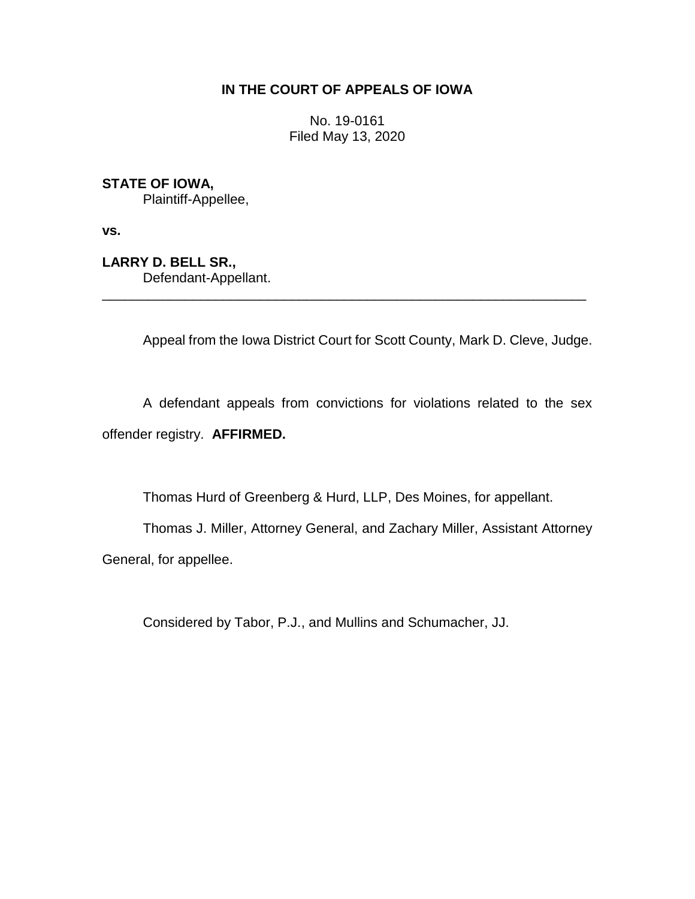# **IN THE COURT OF APPEALS OF IOWA**

No. 19-0161 Filed May 13, 2020

**STATE OF IOWA,**

Plaintiff-Appellee,

**vs.**

**LARRY D. BELL SR.,** Defendant-Appellant.

Appeal from the Iowa District Court for Scott County, Mark D. Cleve, Judge.

A defendant appeals from convictions for violations related to the sex offender registry. **AFFIRMED.**

\_\_\_\_\_\_\_\_\_\_\_\_\_\_\_\_\_\_\_\_\_\_\_\_\_\_\_\_\_\_\_\_\_\_\_\_\_\_\_\_\_\_\_\_\_\_\_\_\_\_\_\_\_\_\_\_\_\_\_\_\_\_\_\_

Thomas Hurd of Greenberg & Hurd, LLP, Des Moines, for appellant.

Thomas J. Miller, Attorney General, and Zachary Miller, Assistant Attorney General, for appellee.

Considered by Tabor, P.J., and Mullins and Schumacher, JJ.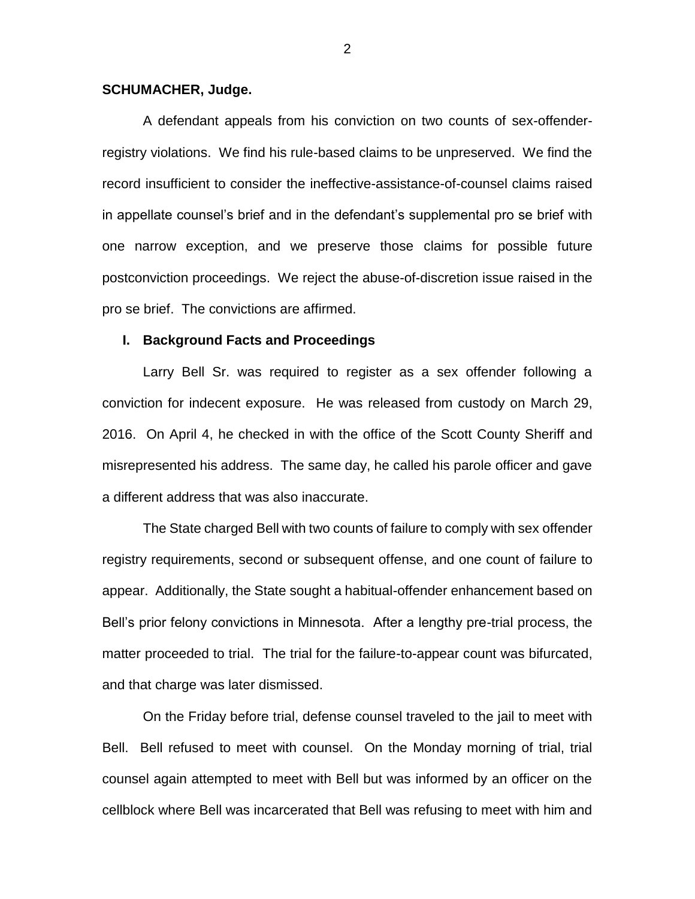#### **SCHUMACHER, Judge.**

A defendant appeals from his conviction on two counts of sex-offenderregistry violations. We find his rule-based claims to be unpreserved. We find the record insufficient to consider the ineffective-assistance-of-counsel claims raised in appellate counsel's brief and in the defendant's supplemental pro se brief with one narrow exception, and we preserve those claims for possible future postconviction proceedings. We reject the abuse-of-discretion issue raised in the pro se brief. The convictions are affirmed.

#### **I. Background Facts and Proceedings**

Larry Bell Sr. was required to register as a sex offender following a conviction for indecent exposure. He was released from custody on March 29, 2016. On April 4, he checked in with the office of the Scott County Sheriff and misrepresented his address. The same day, he called his parole officer and gave a different address that was also inaccurate.

The State charged Bell with two counts of failure to comply with sex offender registry requirements, second or subsequent offense, and one count of failure to appear. Additionally, the State sought a habitual-offender enhancement based on Bell's prior felony convictions in Minnesota. After a lengthy pre-trial process, the matter proceeded to trial. The trial for the failure-to-appear count was bifurcated, and that charge was later dismissed.

On the Friday before trial, defense counsel traveled to the jail to meet with Bell. Bell refused to meet with counsel. On the Monday morning of trial, trial counsel again attempted to meet with Bell but was informed by an officer on the cellblock where Bell was incarcerated that Bell was refusing to meet with him and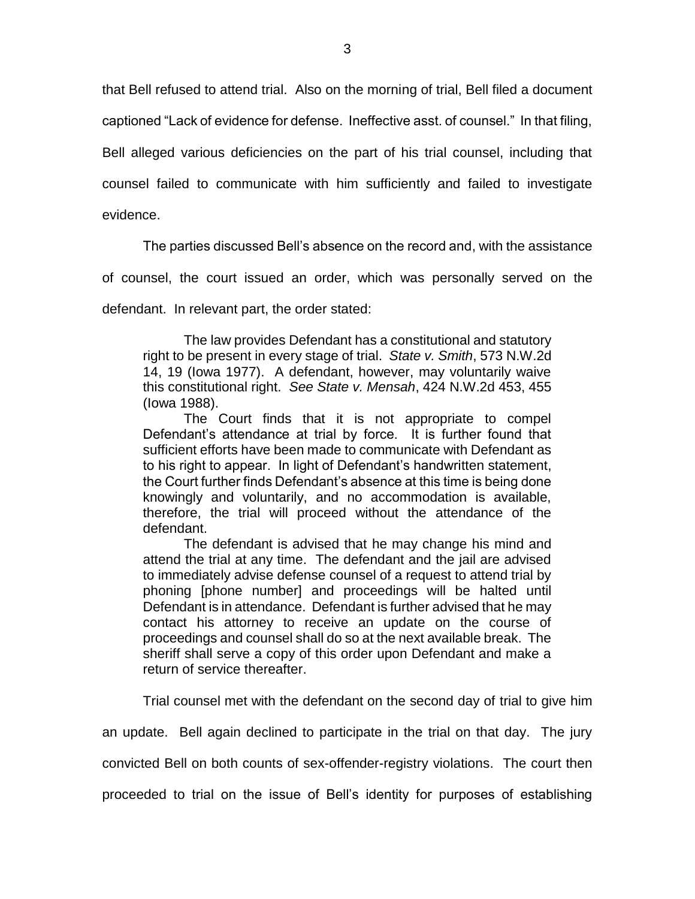that Bell refused to attend trial. Also on the morning of trial, Bell filed a document captioned "Lack of evidence for defense. Ineffective asst. of counsel." In that filing, Bell alleged various deficiencies on the part of his trial counsel, including that counsel failed to communicate with him sufficiently and failed to investigate evidence.

The parties discussed Bell's absence on the record and, with the assistance

of counsel, the court issued an order, which was personally served on the

defendant. In relevant part, the order stated:

The law provides Defendant has a constitutional and statutory right to be present in every stage of trial. *State v. Smith*, 573 N.W.2d 14, 19 (Iowa 1977). A defendant, however, may voluntarily waive this constitutional right. *See State v. Mensah*, 424 N.W.2d 453, 455 (Iowa 1988).

The Court finds that it is not appropriate to compel Defendant's attendance at trial by force. It is further found that sufficient efforts have been made to communicate with Defendant as to his right to appear. In light of Defendant's handwritten statement, the Court further finds Defendant's absence at this time is being done knowingly and voluntarily, and no accommodation is available, therefore, the trial will proceed without the attendance of the defendant.

The defendant is advised that he may change his mind and attend the trial at any time. The defendant and the jail are advised to immediately advise defense counsel of a request to attend trial by phoning [phone number] and proceedings will be halted until Defendant is in attendance. Defendant is further advised that he may contact his attorney to receive an update on the course of proceedings and counsel shall do so at the next available break. The sheriff shall serve a copy of this order upon Defendant and make a return of service thereafter.

Trial counsel met with the defendant on the second day of trial to give him

an update. Bell again declined to participate in the trial on that day. The jury

convicted Bell on both counts of sex-offender-registry violations. The court then

proceeded to trial on the issue of Bell's identity for purposes of establishing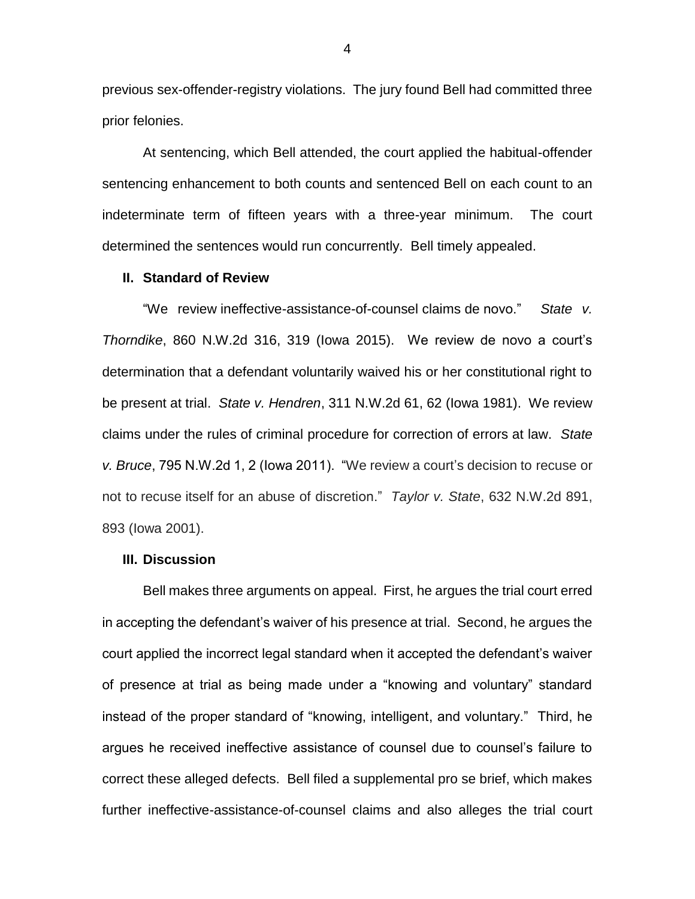previous sex-offender-registry violations. The jury found Bell had committed three prior felonies.

At sentencing, which Bell attended, the court applied the habitual-offender sentencing enhancement to both counts and sentenced Bell on each count to an indeterminate term of fifteen years with a three-year minimum. The court determined the sentences would run concurrently. Bell timely appealed.

## **II. Standard of Review**

"We review ineffective-assistance-of-counsel claims de novo." *State v. Thorndike*, 860 N.W.2d 316, 319 (Iowa 2015). We review de novo a court's determination that a defendant voluntarily waived his or her constitutional right to be present at trial. *State v. Hendren*, 311 N.W.2d 61, 62 (Iowa 1981).We review claims under the rules of criminal procedure for correction of errors at law. *State v. Bruce*, 795 N.W.2d 1, 2 (Iowa 2011). "We review a court's decision to recuse or not to recuse itself for an abuse of discretion." *Taylor v. State*, 632 N.W.2d 891, 893 (Iowa 2001).

## **III. Discussion**

Bell makes three arguments on appeal. First, he argues the trial court erred in accepting the defendant's waiver of his presence at trial. Second, he argues the court applied the incorrect legal standard when it accepted the defendant's waiver of presence at trial as being made under a "knowing and voluntary" standard instead of the proper standard of "knowing, intelligent, and voluntary." Third, he argues he received ineffective assistance of counsel due to counsel's failure to correct these alleged defects. Bell filed a supplemental pro se brief, which makes further ineffective-assistance-of-counsel claims and also alleges the trial court

4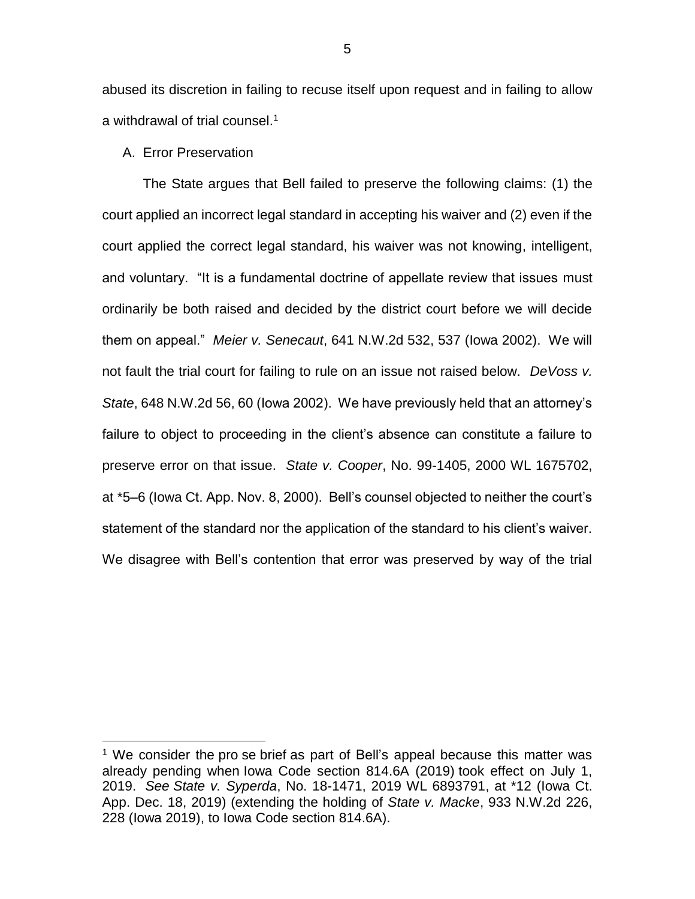abused its discretion in failing to recuse itself upon request and in failing to allow a withdrawal of trial counsel. 1

A. Error Preservation

 $\overline{a}$ 

The State argues that Bell failed to preserve the following claims: (1) the court applied an incorrect legal standard in accepting his waiver and (2) even if the court applied the correct legal standard, his waiver was not knowing, intelligent, and voluntary. "It is a fundamental doctrine of appellate review that issues must ordinarily be both raised and decided by the district court before we will decide them on appeal." *Meier v. Senecaut*, 641 N.W.2d 532, 537 (Iowa 2002). We will not fault the trial court for failing to rule on an issue not raised below. *DeVoss v. State*, 648 N.W.2d 56, 60 (Iowa 2002). We have previously held that an attorney's failure to object to proceeding in the client's absence can constitute a failure to preserve error on that issue. *State v. Cooper*, No. 99-1405, 2000 WL 1675702, at \*5–6 (Iowa Ct. App. Nov. 8, 2000). Bell's counsel objected to neither the court's statement of the standard nor the application of the standard to his client's waiver. We disagree with Bell's contention that error was preserved by way of the trial

<sup>&</sup>lt;sup>1</sup> We consider the pro se brief as part of Bell's appeal because this matter was already pending when Iowa Code [section 814.6A](https://1.next.westlaw.com/Link/Document/FullText?findType=L&pubNum=1000256&cite=IASTS814.6A&originatingDoc=I2676f9203e9211eabc45f109510a2b00&refType=LQ&originationContext=document&transitionType=DocumentItem&contextData=(sc.Search)) (2019) took effect on July 1, 2019. *See State v. Syperda*[, No. 18-1471, 2019 WL 6893791, at \\*12](https://1.next.westlaw.com/Link/Document/FullText?findType=Y&serNum=2049176092&pubNum=0000595&originatingDoc=I2676f9203e9211eabc45f109510a2b00&refType=RP&fi=co_pp_sp_595_236&originationContext=document&transitionType=DocumentItem&contextData=(sc.Search)#co_pp_sp_595_236) (Iowa Ct. [App. Dec. 18, 2019\) \(extending the holding of](https://1.next.westlaw.com/Link/Document/FullText?findType=Y&serNum=2049176092&pubNum=0000595&originatingDoc=I2676f9203e9211eabc45f109510a2b00&refType=RP&fi=co_pp_sp_595_236&originationContext=document&transitionType=DocumentItem&contextData=(sc.Search)#co_pp_sp_595_236) *State v. Macke*, 933 N.W.2d 226, 228 (Iowa 2019), to Iowa Code section 814.6A).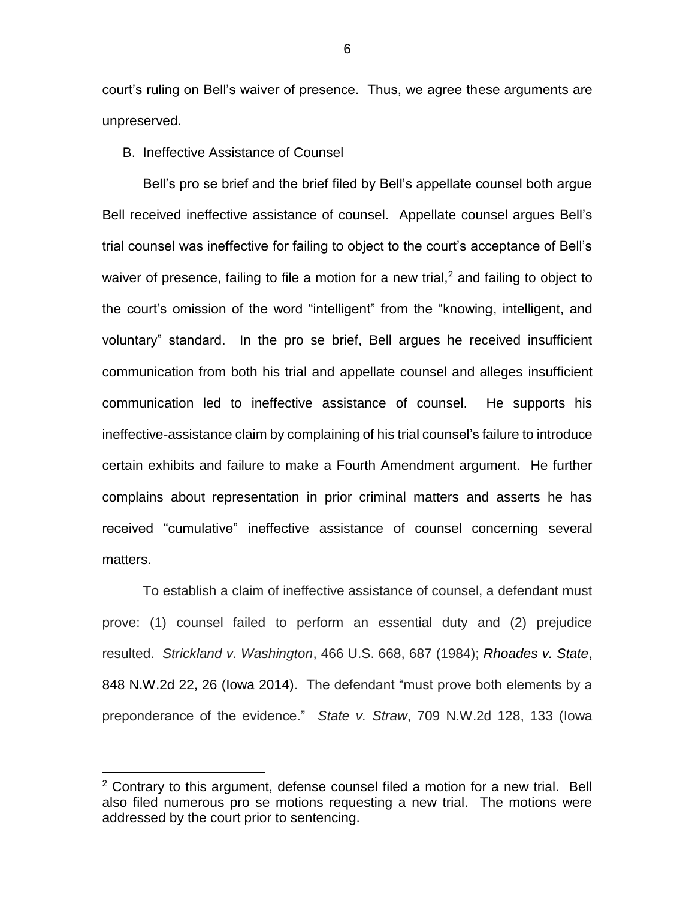court's ruling on Bell's waiver of presence. Thus, we agree these arguments are unpreserved.

B. Ineffective Assistance of Counsel

Bell's pro se brief and the brief filed by Bell's appellate counsel both argue Bell received ineffective assistance of counsel. Appellate counsel argues Bell's trial counsel was ineffective for failing to object to the court's acceptance of Bell's waiver of presence, failing to file a motion for a new trial,<sup>2</sup> and failing to object to the court's omission of the word "intelligent" from the "knowing, intelligent, and voluntary" standard. In the pro se brief, Bell argues he received insufficient communication from both his trial and appellate counsel and alleges insufficient communication led to ineffective assistance of counsel. He supports his ineffective-assistance claim by complaining of his trial counsel's failure to introduce certain exhibits and failure to make a Fourth Amendment argument. He further complains about representation in prior criminal matters and asserts he has received "cumulative" ineffective assistance of counsel concerning several matters.

To establish a claim of ineffective assistance of counsel, a defendant must prove: (1) counsel failed to perform an essential duty and (2) prejudice resulted. *Strickland v. Washington*, 466 U.S. 668, 687 (1984); *Rhoades v. State*, 848 N.W.2d 22, 26 (Iowa 2014). The defendant "must prove both elements by a preponderance of the evidence." *State v. Straw*, 709 N.W.2d 128, 133 (Iowa

 $\overline{a}$ 

 $2$  Contrary to this argument, defense counsel filed a motion for a new trial. Bell also filed numerous pro se motions requesting a new trial. The motions were addressed by the court prior to sentencing.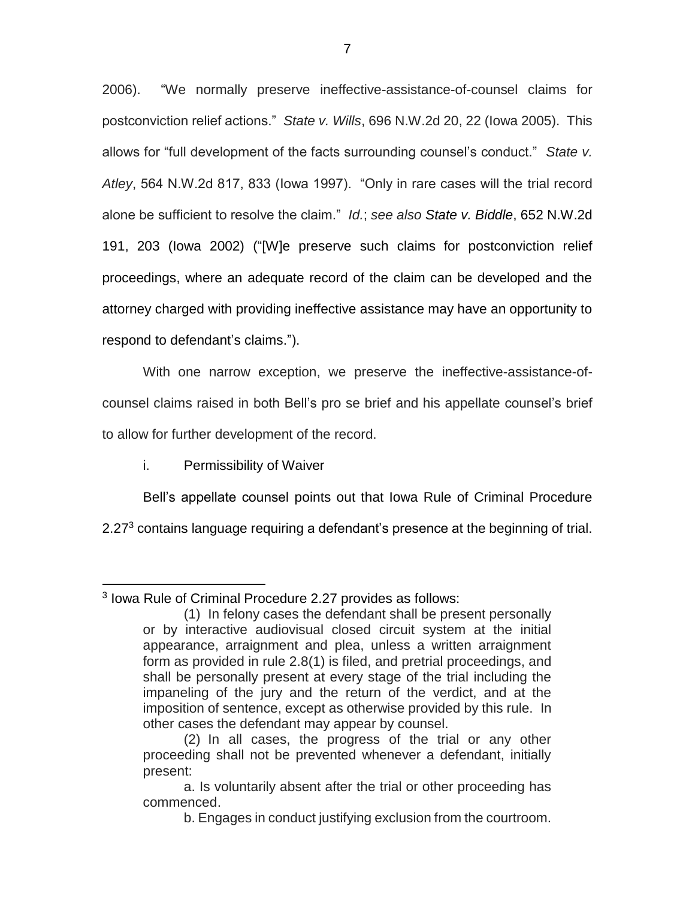2006). "We normally preserve ineffective-assistance-of-counsel claims for postconviction relief actions." *State v. Wills*, 696 N.W.2d 20, 22 (Iowa 2005). This allows for "full development of the facts surrounding counsel's conduct." *State v. Atley*, 564 N.W.2d 817, 833 (Iowa 1997). "Only in rare cases will the trial record alone be sufficient to resolve the claim." *Id.*; *see also State v. Biddle*, 652 N.W.2d 191, 203 (Iowa 2002) ("[W]e preserve such claims for postconviction relief proceedings, where an adequate record of the claim can be developed and the attorney charged with providing ineffective assistance may have an opportunity to respond to defendant's claims.").

With one narrow exception, we preserve the ineffective-assistance-ofcounsel claims raised in both Bell's pro se brief and his appellate counsel's brief to allow for further development of the record.

i. Permissibility of Waiver

Bell's appellate counsel points out that Iowa Rule of Criminal Procedure 2.27<sup>3</sup> contains language requiring a defendant's presence at the beginning of trial.

 $\overline{a}$ 3 Iowa Rule of Criminal Procedure 2.27 provides as follows:

<sup>(1)</sup> In felony cases the defendant shall be present personally or by interactive audiovisual closed circuit system at the initial appearance, arraignment and plea, unless a written arraignment form as provided in rule 2.8(1) is filed, and pretrial proceedings, and shall be personally present at every stage of the trial including the impaneling of the jury and the return of the verdict, and at the imposition of sentence, except as otherwise provided by this rule. In other cases the defendant may appear by counsel.

<sup>(2)</sup> In all cases, the progress of the trial or any other proceeding shall not be prevented whenever a defendant, initially present:

a. Is voluntarily absent after the trial or other proceeding has commenced.

b. Engages in conduct justifying exclusion from the courtroom.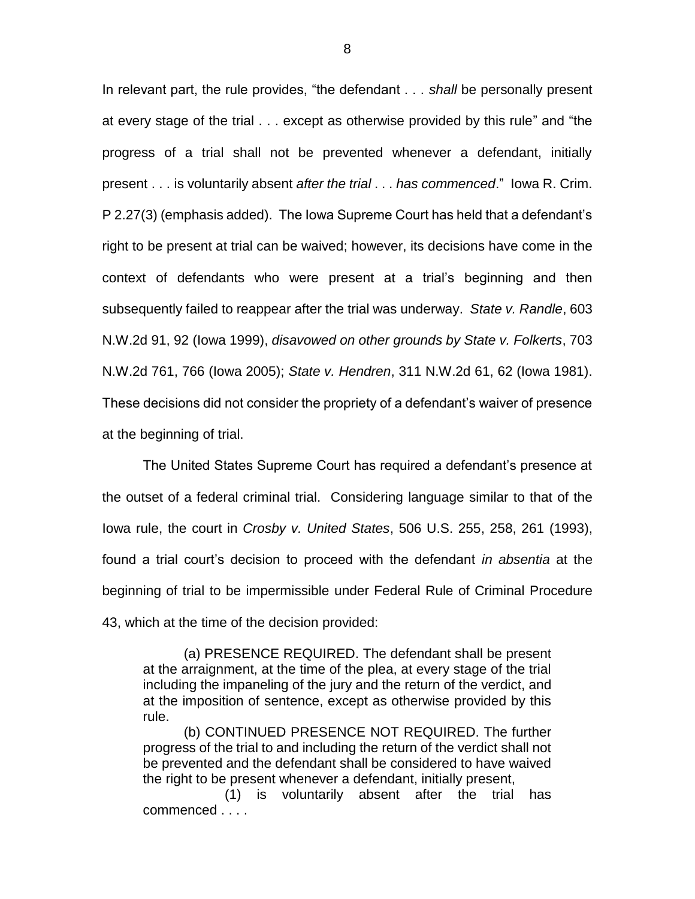In relevant part, the rule provides, "the defendant . . . *shall* be personally present at every stage of the trial . . . except as otherwise provided by this rule" and "the progress of a trial shall not be prevented whenever a defendant, initially present . . . is voluntarily absent *after the trial* . . . *has commenced*." Iowa R. Crim. P 2.27(3) (emphasis added). The Iowa Supreme Court has held that a defendant's right to be present at trial can be waived; however, its decisions have come in the context of defendants who were present at a trial's beginning and then subsequently failed to reappear after the trial was underway. *State v. Randle*, 603 N.W.2d 91, 92 (Iowa 1999), *disavowed on other grounds by State v. Folkerts*, 703 N.W.2d 761, 766 (Iowa 2005); *State v. Hendren*, 311 N.W.2d 61, 62 (Iowa 1981). These decisions did not consider the propriety of a defendant's waiver of presence at the beginning of trial.

The United States Supreme Court has required a defendant's presence at the outset of a federal criminal trial. Considering language similar to that of the Iowa rule, the court in *Crosby v. United States*, 506 U.S. 255, 258, 261 (1993), found a trial court's decision to proceed with the defendant *in absentia* at the beginning of trial to be impermissible under Federal Rule of Criminal Procedure 43, which at the time of the decision provided:

(a) PRESENCE REQUIRED. The defendant shall be present at the arraignment, at the time of the plea, at every stage of the trial including the impaneling of the jury and the return of the verdict, and at the imposition of sentence, except as otherwise provided by this rule.

(b) CONTINUED PRESENCE NOT REQUIRED. The further progress of the trial to and including the return of the verdict shall not be prevented and the defendant shall be considered to have waived the right to be present whenever a defendant, initially present,

(1) is voluntarily absent after the trial has commenced . . . .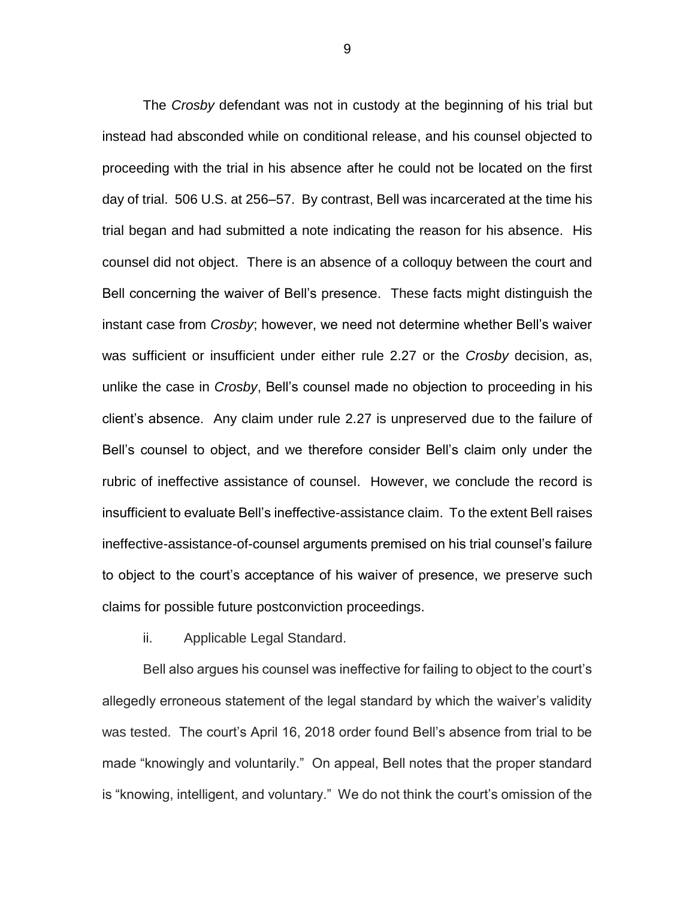The *Crosby* defendant was not in custody at the beginning of his trial but instead had absconded while on conditional release, and his counsel objected to proceeding with the trial in his absence after he could not be located on the first day of trial. 506 U.S. at 256–57. By contrast, Bell was incarcerated at the time his trial began and had submitted a note indicating the reason for his absence. His counsel did not object. There is an absence of a colloquy between the court and Bell concerning the waiver of Bell's presence. These facts might distinguish the instant case from *Crosby*; however, we need not determine whether Bell's waiver was sufficient or insufficient under either rule 2.27 or the *Crosby* decision, as, unlike the case in *Crosby*, Bell's counsel made no objection to proceeding in his client's absence. Any claim under rule 2.27 is unpreserved due to the failure of Bell's counsel to object, and we therefore consider Bell's claim only under the rubric of ineffective assistance of counsel. However, we conclude the record is insufficient to evaluate Bell's ineffective-assistance claim. To the extent Bell raises ineffective-assistance-of-counsel arguments premised on his trial counsel's failure to object to the court's acceptance of his waiver of presence, we preserve such claims for possible future postconviction proceedings.

ii. Applicable Legal Standard.

Bell also argues his counsel was ineffective for failing to object to the court's allegedly erroneous statement of the legal standard by which the waiver's validity was tested. The court's April 16, 2018 order found Bell's absence from trial to be made "knowingly and voluntarily." On appeal, Bell notes that the proper standard is "knowing, intelligent, and voluntary." We do not think the court's omission of the

9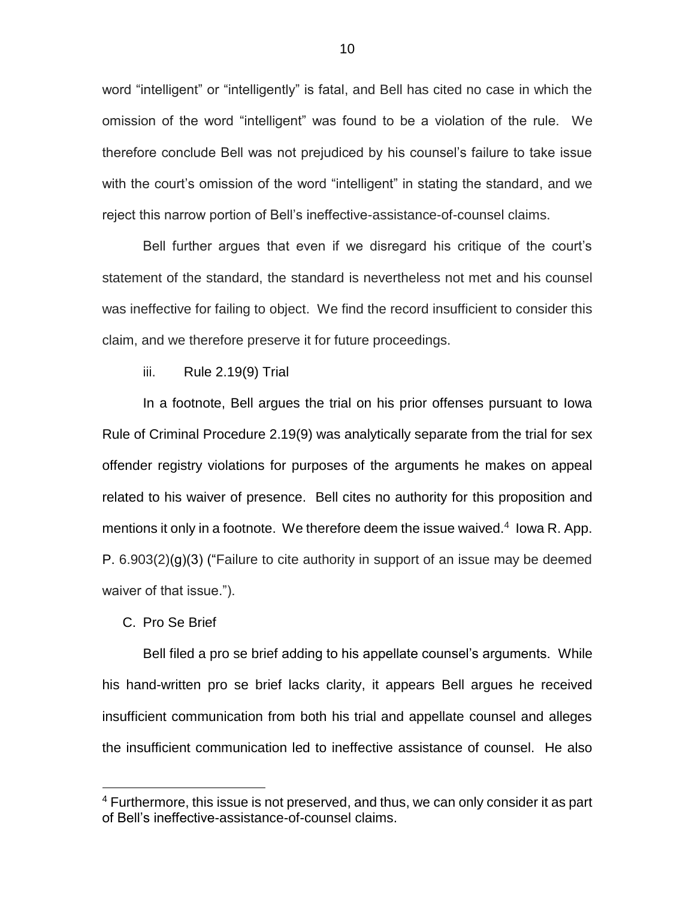word "intelligent" or "intelligently" is fatal, and Bell has cited no case in which the omission of the word "intelligent" was found to be a violation of the rule. We therefore conclude Bell was not prejudiced by his counsel's failure to take issue with the court's omission of the word "intelligent" in stating the standard, and we reject this narrow portion of Bell's ineffective-assistance-of-counsel claims.

Bell further argues that even if we disregard his critique of the court's statement of the standard, the standard is nevertheless not met and his counsel was ineffective for failing to object. We find the record insufficient to consider this claim, and we therefore preserve it for future proceedings.

iii. Rule 2.19(9) Trial

In a footnote, Bell argues the trial on his prior offenses pursuant to Iowa Rule of Criminal Procedure 2.19(9) was analytically separate from the trial for sex offender registry violations for purposes of the arguments he makes on appeal related to his waiver of presence. Bell cites no authority for this proposition and mentions it only in a footnote. We therefore deem the issue waived. $4$  lowa R. App. P.  $6.903(2)(q)(3)$  ("Failure to cite authority in support of an issue may be deemed waiver of that issue.").

C. Pro Se Brief

 $\overline{a}$ 

Bell filed a pro se brief adding to his appellate counsel's arguments. While his hand-written pro se brief lacks clarity, it appears Bell argues he received insufficient communication from both his trial and appellate counsel and alleges the insufficient communication led to ineffective assistance of counsel. He also

<sup>&</sup>lt;sup>4</sup> Furthermore, this issue is not preserved, and thus, we can only consider it as part of Bell's ineffective-assistance-of-counsel claims.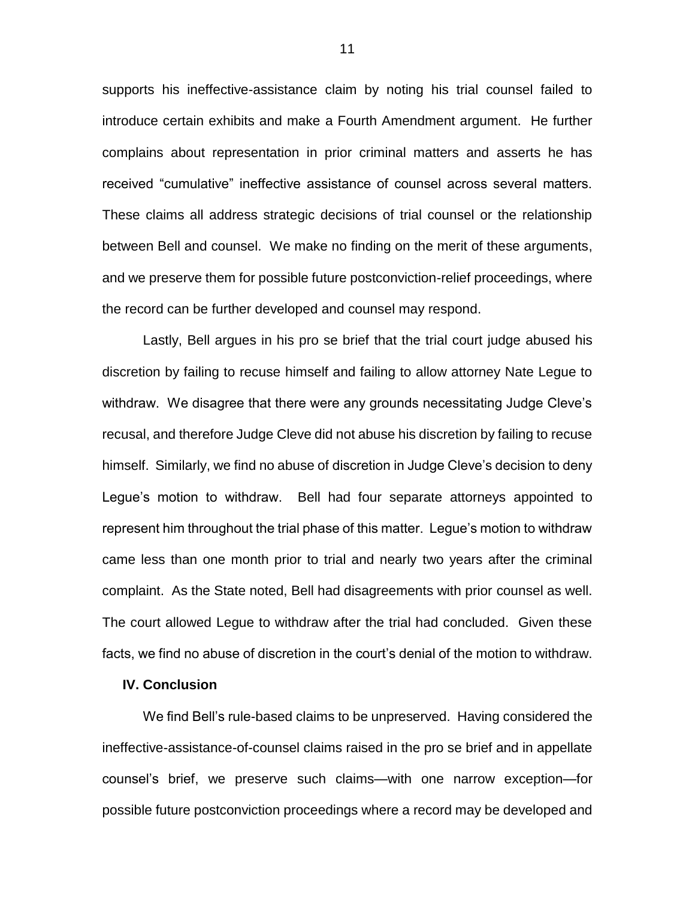supports his ineffective-assistance claim by noting his trial counsel failed to introduce certain exhibits and make a Fourth Amendment argument. He further complains about representation in prior criminal matters and asserts he has received "cumulative" ineffective assistance of counsel across several matters. These claims all address strategic decisions of trial counsel or the relationship between Bell and counsel. We make no finding on the merit of these arguments, and we preserve them for possible future postconviction-relief proceedings, where the record can be further developed and counsel may respond.

Lastly, Bell argues in his pro se brief that the trial court judge abused his discretion by failing to recuse himself and failing to allow attorney Nate Legue to withdraw. We disagree that there were any grounds necessitating Judge Cleve's recusal, and therefore Judge Cleve did not abuse his discretion by failing to recuse himself. Similarly, we find no abuse of discretion in Judge Cleve's decision to deny Legue's motion to withdraw. Bell had four separate attorneys appointed to represent him throughout the trial phase of this matter. Legue's motion to withdraw came less than one month prior to trial and nearly two years after the criminal complaint. As the State noted, Bell had disagreements with prior counsel as well. The court allowed Legue to withdraw after the trial had concluded. Given these facts, we find no abuse of discretion in the court's denial of the motion to withdraw.

## **IV. Conclusion**

We find Bell's rule-based claims to be unpreserved. Having considered the ineffective-assistance-of-counsel claims raised in the pro se brief and in appellate counsel's brief, we preserve such claims—with one narrow exception—for possible future postconviction proceedings where a record may be developed and

11